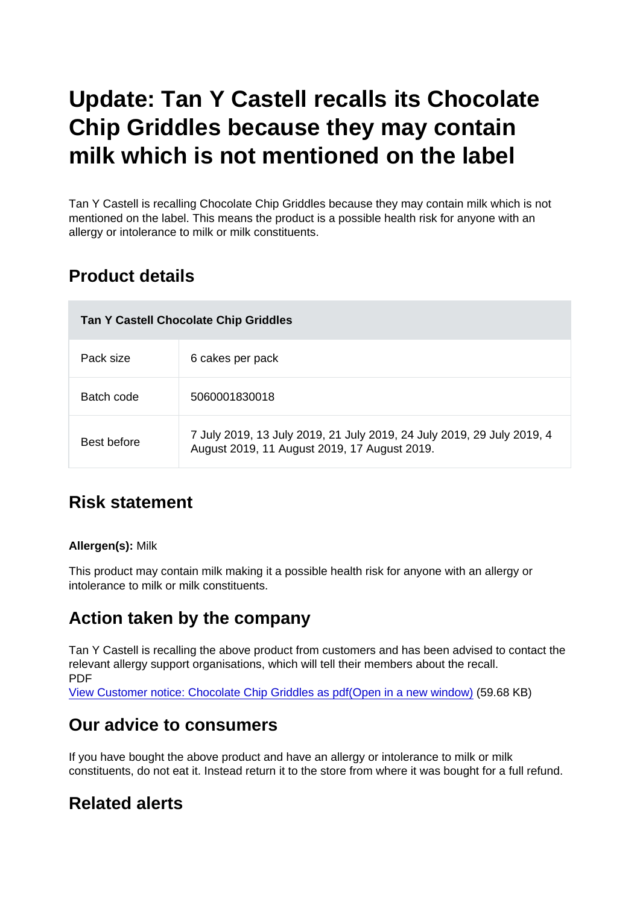# Update: Tan Y Castell recalls its Chocolate Chip Griddles because they may contain milk which is not mentioned on the label

Tan Y Castell is recalling Chocolate Chip Griddles because they may contain milk which is not mentioned on the label. This means the product is a possible health risk for anyone with an allergy or intolerance to milk or milk constituents.

# Product details

| Tan Y Castell Chocolate Chip Griddles |                                                                                                                        |
|---------------------------------------|------------------------------------------------------------------------------------------------------------------------|
| Pack size                             | 6 cakes per pack                                                                                                       |
| Batch code                            | 5060001830018                                                                                                          |
| Best before                           | 7 July 2019, 13 July 2019, 21 July 2019, 24 July 2019, 29 July 2019, 4<br>August 2019, 11 August 2019, 17 August 2019. |

# Risk statement

#### Allergen(s): Milk

This product may contain milk making it a possible health risk for anyone with an allergy or intolerance to milk or milk constituents.

## Action taken by the company

Tan Y Castell is recalling the above product from customers and has been advised to contact the relevant allergy support organisations, which will tell their members about the recall. PDF

[View Customer notice: Chocolate Chip Griddles as pdf\(Open in a new window\)](https://s3-eu-west-1.amazonaws.com/fsa-alerts-files/production/FSA-AA-66-2019-update-1/Customer-notice-Chocolate-Chip-Griddles.pdf) (59.68 KB)

### Our advice to consumers

If you have bought the above product and have an allergy or intolerance to milk or milk constituents, do not eat it. Instead return it to the store from where it was bought for a full refund.

# Related alerts